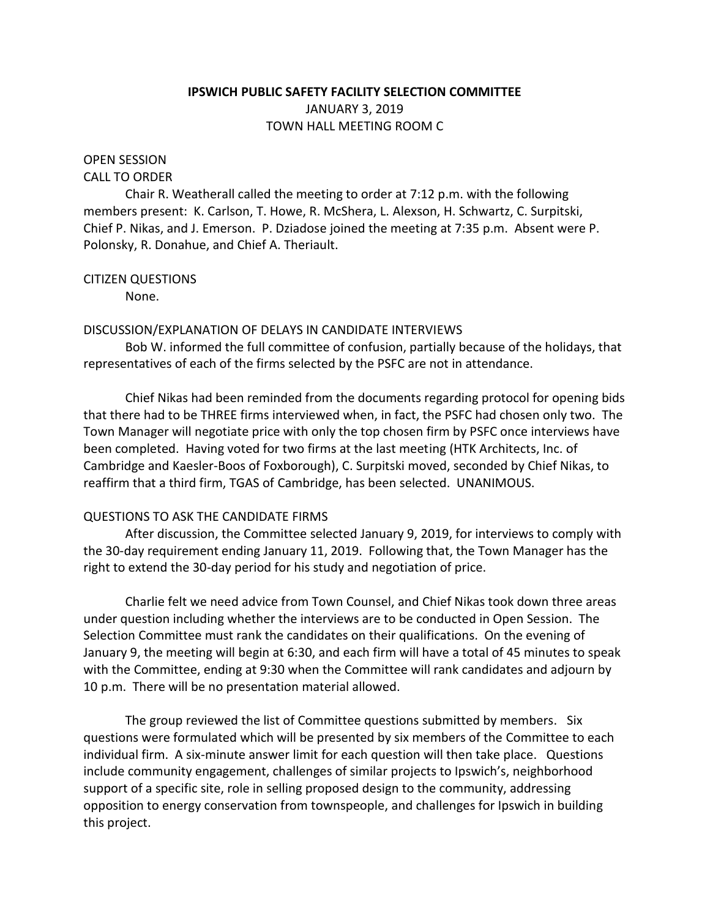# **IPSWICH PUBLIC SAFETY FACILITY SELECTION COMMITTEE** JANUARY 3, 2019 TOWN HALL MEETING ROOM C

# OPEN SESSION

#### CALL TO ORDER

Chair R. Weatherall called the meeting to order at 7:12 p.m. with the following members present: K. Carlson, T. Howe, R. McShera, L. Alexson, H. Schwartz, C. Surpitski, Chief P. Nikas, and J. Emerson. P. Dziadose joined the meeting at 7:35 p.m. Absent were P. Polonsky, R. Donahue, and Chief A. Theriault.

### CITIZEN QUESTIONS

None.

### DISCUSSION/EXPLANATION OF DELAYS IN CANDIDATE INTERVIEWS

Bob W. informed the full committee of confusion, partially because of the holidays, that representatives of each of the firms selected by the PSFC are not in attendance.

Chief Nikas had been reminded from the documents regarding protocol for opening bids that there had to be THREE firms interviewed when, in fact, the PSFC had chosen only two. The Town Manager will negotiate price with only the top chosen firm by PSFC once interviews have been completed. Having voted for two firms at the last meeting (HTK Architects, Inc. of Cambridge and Kaesler-Boos of Foxborough), C. Surpitski moved, seconded by Chief Nikas, to reaffirm that a third firm, TGAS of Cambridge, has been selected. UNANIMOUS.

# QUESTIONS TO ASK THE CANDIDATE FIRMS

After discussion, the Committee selected January 9, 2019, for interviews to comply with the 30-day requirement ending January 11, 2019. Following that, the Town Manager has the right to extend the 30-day period for his study and negotiation of price.

Charlie felt we need advice from Town Counsel, and Chief Nikas took down three areas under question including whether the interviews are to be conducted in Open Session. The Selection Committee must rank the candidates on their qualifications. On the evening of January 9, the meeting will begin at 6:30, and each firm will have a total of 45 minutes to speak with the Committee, ending at 9:30 when the Committee will rank candidates and adjourn by 10 p.m. There will be no presentation material allowed.

The group reviewed the list of Committee questions submitted by members. Six questions were formulated which will be presented by six members of the Committee to each individual firm. A six-minute answer limit for each question will then take place. Questions include community engagement, challenges of similar projects to Ipswich's, neighborhood support of a specific site, role in selling proposed design to the community, addressing opposition to energy conservation from townspeople, and challenges for Ipswich in building this project.